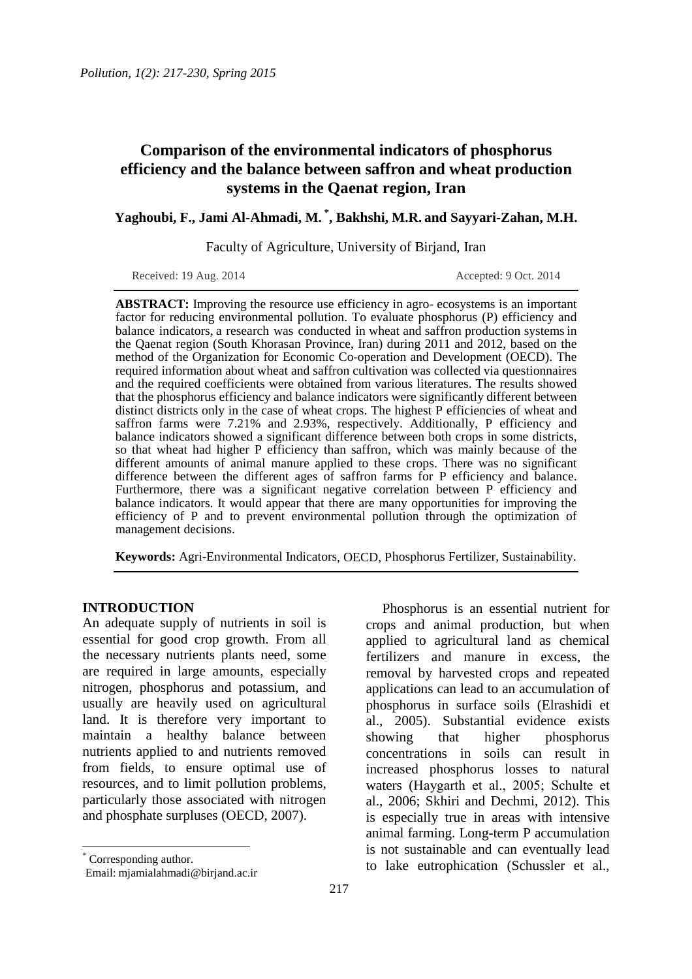# **Comparison of the environmental indicators of phosphorus efficiency and the balance between saffron and wheat production systems in the Qaenat region, Iran**

**Yaghoubi, F., Jami Al-Ahmadi, M. \*, Bakhshi, M.R. and Sayyari-Zahan, M.H.**

Faculty of Agriculture, University of Birjand, Iran

Received: 19 Aug. 2014 **Accepted: 9 Oct. 2014** Accepted: 9 Oct. 2014

**ABSTRACT:** Improving the resource use efficiency in agro- ecosystems is an important factor for reducing environmental pollution. To evaluate phosphorus (P) efficiency and balance indicators, a research was conducted in wheat and saffron production systems in the Qaenat region (South Khorasan Province, Iran) during 2011 and 2012, based on the method of the Organization for Economic Co-operation and Development (OECD). The required information about wheat and saffron cultivation was collected via questionnaires and the required coefficients were obtained from various literatures. The results showed that the phosphorus efficiency and balance indicators were significantly different between distinct districts only in the case of wheat crops. The highest P efficiencies of wheat and saffron farms were 7.21% and 2.93%, respectively. Additionally, P efficiency and balance indicators showed a significant difference between both crops in some districts, so that wheat had higher P efficiency than saffron, which was mainly because of the different amounts of animal manure applied to these crops. There was no significant difference between the different ages of saffron farms for P efficiency and balance. Furthermore, there was a significant negative correlation between P efficiency and balance indicators. It would appear that there are many opportunities for improving the efficiency of P and to prevent environmental pollution through the optimization of management decisions.

Keywords: Agri-Environmental Indicators, OECD, Phosphorus Fertilizer, Sustainability.

### **INTRODUCTION**

An adequate supply of nutrients in soil is essential for good crop growth. From all the necessary nutrients plants need, some are required in large amounts, especially nitrogen, phosphorus and potassium, and usually are heavily used on agricultural land. It is therefore very important to maintain a healthy balance between nutrients applied to and nutrients removed from fields, to ensure optimal use of resources, and to limit pollution problems, particularly those associated with nitrogen and phosphate surpluses (OECD, 2007).

Phosphorus is an essential nutrient for crops and animal production, but when applied to agricultural land as chemical fertilizers and manure in excess, the removal by harvested crops and repeated applications can lead to an accumulation of phosphorus in surface soils (Elrashidi et al., 2005). Substantial evidence exists showing that higher phosphorus concentrations in soils can result in increased phosphorus losses to natural waters (Haygarth et al., 2005; Schulte et al., 2006; Skhiri and Dechmi, 2012). This is especially true in areas with intensive animal farming. Long-term P accumulation is not sustainable and can eventually lead to lake eutrophication (Schussler et al.,

<sup>\*</sup> Corresponding author.

Email: mjamialahmadi@birjand.ac.ir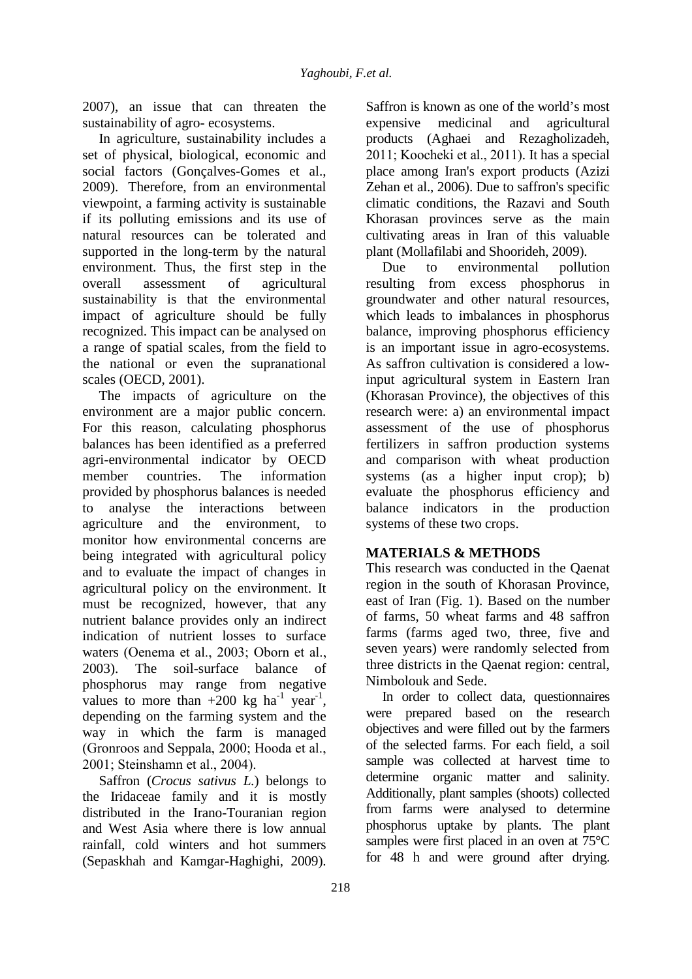2007), an issue that can threaten the sustainability of agro- ecosystems.

In agriculture, sustainability includes a set of physical, biological, economic and social factors (Gonçalves-Gomes et al., 2009). Therefore, from an environmental viewpoint, a farming activity is sustainable if its polluting emissions and its use of natural resources can be tolerated and supported in the long-term by the natural environment. Thus, the first step in the overall assessment of agricultural sustainability is that the environmental impact of agriculture should be fully recognized. This impact can be analysed on a range of spatial scales, from the field to the national or even the supranational scales (OECD, 2001).

The impacts of agriculture on the environment are a major public concern. For this reason, calculating phosphorus balances has been identified as a preferred agri-environmental indicator by OECD member countries. The information provided by phosphorus balances is needed to analyse the interactions between agriculture and the environment, to monitor how environmental concerns are being integrated with agricultural policy and to evaluate the impact of changes in agricultural policy on the environment. It must be recognized, however, that any nutrient balance provides only an indirect indication of nutrient losses to surface waters (Oenema et al., 2003; Oborn et al., 2003). The soil-surface balance of phosphorus may range from negative values to more than  $+200 \text{ kg}$  ha<sup>-1</sup> year<sup>-1</sup>, depending on the farming system and the way in which the farm is managed (Gronroos and Seppala, 2000; Hooda et al., 2001; Steinshamn et al., 2004).

Saffron (*Crocus sativus L.*) belongs to the Iridaceae family and it is mostly distributed in the Irano-Touranian region and West Asia where there is low annual rainfall, cold winters and hot summers (Sepaskhah and Kamgar-Haghighi, 2009). Saffron is known as one of the world's most expensive medicinal and agricultural products (Aghaei and Rezagholizadeh, 2011; Koocheki et al., 2011). It has a special place among Iran's export products (Azizi Zehan et al., 2006). Due to saffron's specific climatic conditions, the Razavi and South Khorasan provinces serve as the main cultivating areas in Iran of this valuable plant (Mollafilabi and Shoorideh, 2009).

Due to environmental pollution resulting from excess phosphorus in groundwater and other natural resources, which leads to imbalances in phosphorus balance, improving phosphorus efficiency is an important issue in agro-ecosystems. As saffron cultivation is considered a lowinput agricultural system in Eastern Iran (Khorasan Province), the objectives of this research were: a) an environmental impact assessment of the use of phosphorus fertilizers in saffron production systems and comparison with wheat production systems (as a higher input crop); b) evaluate the phosphorus efficiency and balance indicators in the production systems of these two crops.

## **MATERIALS & METHODS**

This research was conducted in the Qaenat region in the south of Khorasan Province, east of Iran (Fig. 1). Based on the number of farms, 50 wheat farms and 48 saffron farms (farms aged two, three, five and seven years) were randomly selected from three districts in the Qaenat region: central, Nimbolouk and Sede.

In order to collect data, questionnaires were prepared based on the research objectives and were filled out by the farmers of the selected farms. For each field, a soil sample was collected at harvest time to determine organic matter and salinity. Additionally, plant samples (shoots) collected from farms were analysed to determine phosphorus uptake by plants. The plant samples were first placed in an oven at 75°C for 48 h and were ground after drying.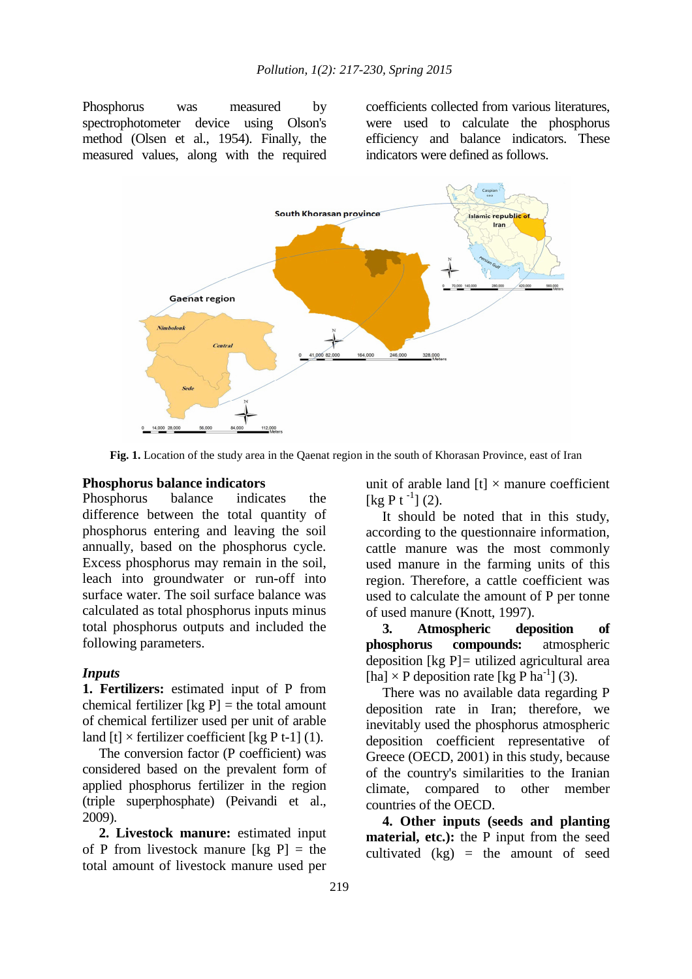Phosphorus was measured by spectrophotometer device using Olson's method (Olsen et al., 1954). Finally, the measured values, along with the required coefficients collected from various literatures, were used to calculate the phosphorus efficiency and balance indicators. These indicators were defined as follows.



**Fig. 1.** Location of the study area in the Qaenat region in the south of Khorasan Province, east of Iran

#### **Phosphorus balance indicators**

Phosphorus balance indicates the difference between the total quantity of phosphorus entering and leaving the soil annually, based on the phosphorus cycle. Excess phosphorus may remain in the soil, leach into groundwater or run-off into surface water. The soil surface balance was calculated as total phosphorus inputs minus total phosphorus outputs and included the following parameters.

#### *Inputs*

**1. Fertilizers:** estimated input of P from chemical fertilizer  $[kg P] =$  the total amount of chemical fertilizer used per unit of arable land  $[t] \times$  fertilizer coefficient  $\lceil \log P t - 1 \rceil$  (1).

The conversion factor (P coefficient) was considered based on the prevalent form of applied phosphorus fertilizer in the region (triple superphosphate) (Peivandi et al., 2009).

**2. Livestock manure:** estimated input of P from livestock manure  $[kg P] = the$ total amount of livestock manure used per

unit of arable land  $[t] \times$  manure coefficient  $\lceil \log P t^{-1} \rceil$  (2).

It should be noted that in this study, according to the questionnaire information, cattle manure was the most commonly used manure in the farming units of this region. Therefore, a cattle coefficient was used to calculate the amount of P per tonne of used manure (Knott, 1997).

**3. Atmospheric deposition of phosphorus compounds:** atmospheric deposition [kg P]*=* utilized agricultural area [ha]  $\times$  P deposition rate [kg P ha<sup>-1</sup>] (3).

There was no available data regarding P deposition rate in Iran; therefore, we inevitably used the phosphorus atmospheric deposition coefficient representative of Greece (OECD, 2001) in this study, because of the country's similarities to the Iranian climate, compared to other member countries of the OECD.

**4. Other inputs (seeds and planting material, etc.):** the P input from the seed cultivated  $(kg)$  = the amount of seed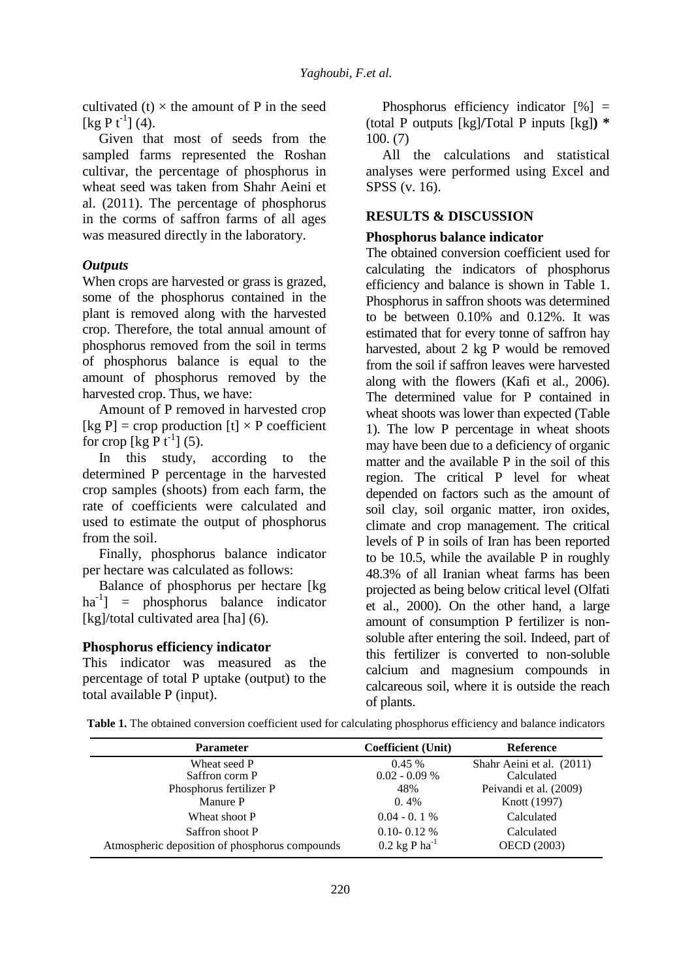cultivated (t)  $\times$  the amount of P in the seed  $[kg P t^{-1}] (4).$ 

Given that most of seeds from the sampled farms represented the Roshan cultivar, the percentage of phosphorus in wheat seed was taken from Shahr Aeini et al. (2011). The percentage of phosphorus in the corms of saffron farms of all ages was measured directly in the laboratory.

## *Outputs*

When crops are harvested or grass is grazed, some of the phosphorus contained in the plant is removed along with the harvested crop. Therefore, the total annual amount of phosphorus removed from the soil in terms of phosphorus balance is equal to the amount of phosphorus removed by the harvested crop. Thus, we have:

Amount of P removed in harvested crop [kg P] = crop production [t]  $\times$  P coefficient for crop  $\lceil \log P t^{-1} \rceil$  (5).

In this study, according to the determined P percentage in the harvested crop samples (shoots) from each farm, the rate of coefficients were calculated and used to estimate the output of phosphorus from the soil.

Finally, phosphorus balance indicator per hectare was calculated as follows:

Balance of phosphorus per hectare [kg  $ha^{-1}$ ] = phosphorus balance indicator [kg]/total cultivated area [ha] (6).

### **Phosphorus efficiency indicator**

This indicator was measured as the percentage of total P uptake (output) to the total available P (input).

Phosphorus efficiency indicator  $[%] =$ (total P outputs [kg]**/**Total P inputs [kg]**) \***  100. (7)

All the calculations and statistical analyses were performed using Excel and SPSS (v. 16).

### **RESULTS & DISCUSSION**

## **Phosphorus balance indicator**

The obtained conversion coefficient used for calculating the indicators of phosphorus efficiency and balance is shown in Table 1. Phosphorus in saffron shoots was determined to be between 0.10% and 0.12%. It was estimated that for every tonne of saffron hay harvested, about 2 kg P would be removed from the soil if saffron leaves were harvested along with the flowers (Kafi et al., 2006). The determined value for P contained in wheat shoots was lower than expected (Table 1). The low P percentage in wheat shoots may have been due to a deficiency of organic matter and the available P in the soil of this region. The critical P level for wheat depended on factors such as the amount of soil clay, soil organic matter, iron oxides, climate and crop management. The critical levels of P in soils of Iran has been reported to be 10.5, while the available P in roughly 48.3% of all Iranian wheat farms has been projected as being below critical level (Olfati et al., 2000). On the other hand, a large amount of consumption P fertilizer is nonsoluble after entering the soil. Indeed, part of this fertilizer is converted to non-soluble calcium and magnesium compounds in calcareous soil, where it is outside the reach of plants.

|  |  |  |  |  |  |  |  | Table 1. The obtained conversion coefficient used for calculating phosphorus efficiency and balance indicators |
|--|--|--|--|--|--|--|--|----------------------------------------------------------------------------------------------------------------|
|--|--|--|--|--|--|--|--|----------------------------------------------------------------------------------------------------------------|

| <b>Parameter</b>                               | <b>Coefficient (Unit)</b>   | <b>Reference</b>          |
|------------------------------------------------|-----------------------------|---------------------------|
| Wheat seed P                                   | $0.45\%$                    | Shahr Aeini et al. (2011) |
| Saffron corm P                                 | $0.02 - 0.09 %$             | Calculated                |
| Phosphorus fertilizer P                        | 48%                         | Peivandi et al. (2009)    |
| Manure P                                       | $0.4\%$                     | Knott (1997)              |
| Wheat shoot P                                  | $0.04 - 0.1 %$              | Calculated                |
| Saffron shoot P                                | $0.10 - 0.12$ %             | Calculated                |
| Atmospheric deposition of phosphorus compounds | $0.2$ kg P ha <sup>-1</sup> | <b>OECD</b> (2003)        |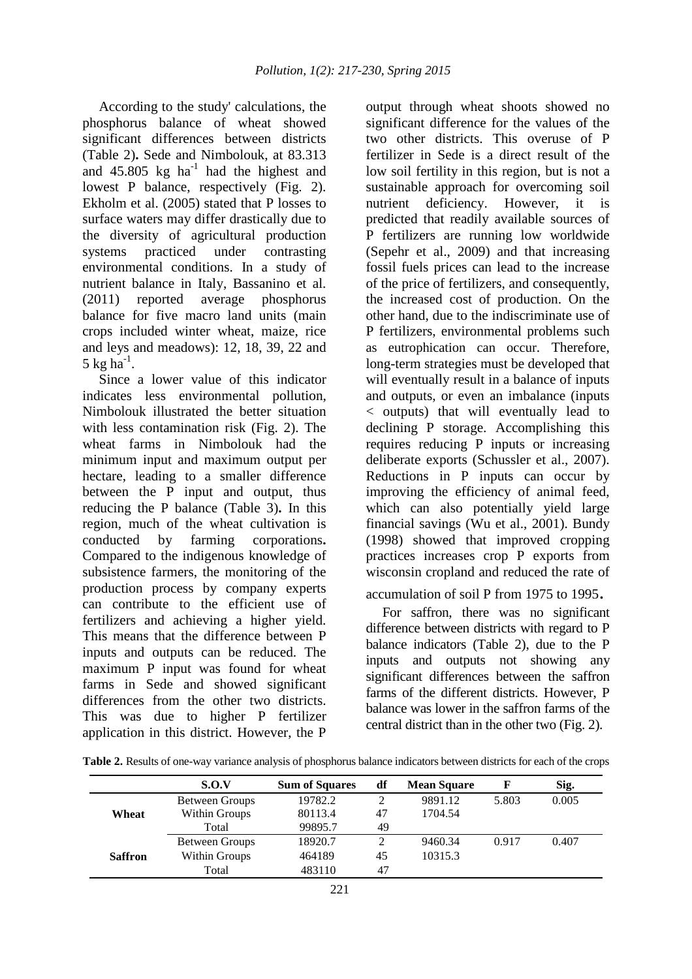According to the study' calculations, the phosphorus balance of wheat showed significant differences between districts (Table 2)**.** Sede and Nimbolouk, at 83.313 and  $45.805 \text{ kg}$  ha<sup>-1</sup> had the highest and lowest P balance, respectively (Fig. 2). Ekholm et al. (2005) stated that P losses to surface waters may differ drastically due to the diversity of agricultural production systems practiced under contrasting environmental conditions. In a study of nutrient balance in Italy, Bassanino et al. (2011) reported average phosphorus balance for five macro land units (main crops included winter wheat, maize, rice and leys and meadows): 12, 18, 39, 22 and 5 kg ha $^{-1}$ .

Since a lower value of this indicator indicates less environmental pollution, Nimbolouk illustrated the better situation with less contamination risk (Fig. 2). The wheat farms in Nimbolouk had the minimum input and maximum output per hectare, leading to a smaller difference between the P input and output, thus reducing the P balance (Table 3)**.** In this region, much of the wheat cultivation is conducted by farming corporations**.**  Compared to the indigenous knowledge of subsistence farmers, the monitoring of the production process by company experts can contribute to the efficient use of fertilizers and achieving a higher yield. This means that the difference between P inputs and outputs can be reduced. The maximum P input was found for wheat farms in Sede and showed significant differences from the other two districts. This was due to higher P fertilizer application in this district. However, the P

output through wheat shoots showed no significant difference for the values of the two other districts. This overuse of P fertilizer in Sede is a direct result of the low soil fertility in this region, but is not a sustainable approach for overcoming soil nutrient deficiency. However, it is predicted that readily available sources of P fertilizers are running low worldwide (Sepehr et al., 2009) and that increasing fossil fuels prices can lead to the increase of the price of fertilizers, and consequently, the increased cost of production. On the other hand, due to the indiscriminate use of P fertilizers, environmental problems such as eutrophication can occur. Therefore, long-term strategies must be developed that will eventually result in a balance of inputs and outputs, or even an imbalance (inputs < outputs) that will eventually lead to declining P storage. Accomplishing this requires reducing P inputs or increasing deliberate exports (Schussler et al., 2007). Reductions in P inputs can occur by improving the efficiency of animal feed, which can also potentially yield large financial savings (Wu et al., 2001). Bundy (1998) showed that improved cropping practices increases crop P exports from wisconsin cropland and reduced the rate of

## accumulation of soil P from 1975 to 1995.

For saffron, there was no significant difference between districts with regard to P balance indicators (Table 2), due to the P inputs and outputs not showing any significant differences between the saffron farms of the different districts. However, P balance was lower in the saffron farms of the central district than in the other two (Fig. 2).

|                | S.O.V          | <b>Sum of Squares</b> | df             | <b>Mean Square</b> | F     | Sig.  |
|----------------|----------------|-----------------------|----------------|--------------------|-------|-------|
|                | Between Groups | 19782.2               | $\overline{c}$ | 9891.12            | 5.803 | 0.005 |
| Wheat          | Within Groups  | 80113.4               | 47             | 1704.54            |       |       |
|                | Total          | 99895.7               | 49             |                    |       |       |
|                | Between Groups | 18920.7               | 2              | 9460.34            | 0.917 | 0.407 |
| <b>Saffron</b> | Within Groups  | 464189                | 45             | 10315.3            |       |       |
|                | Total          | 483110                | 47             |                    |       |       |

**Table 2.** Results of one-way variance analysis of phosphorus balance indicators between districts for each of the crops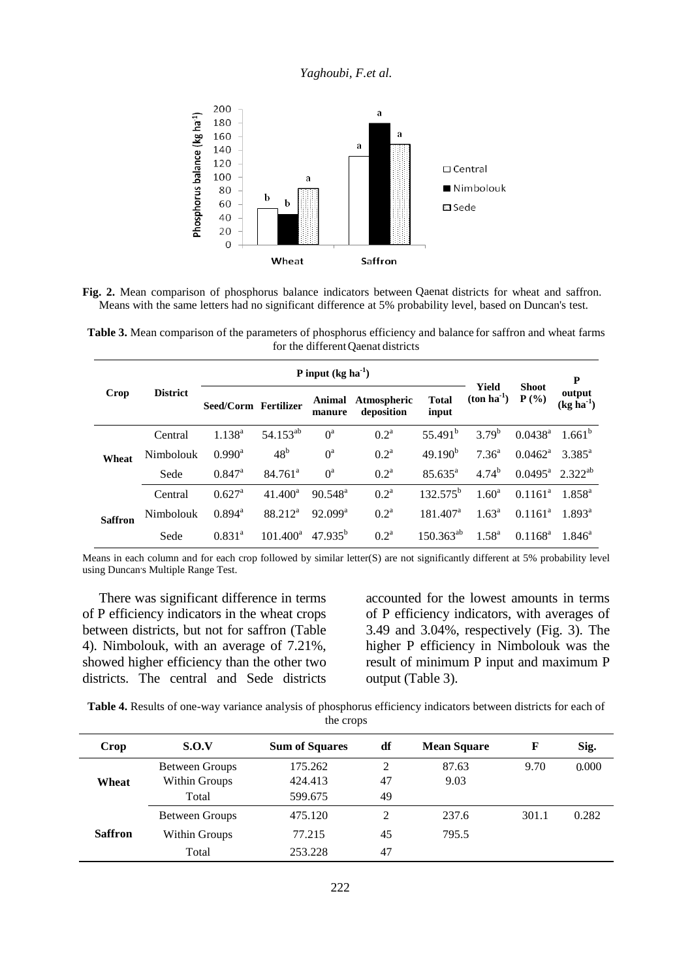### *Yaghoubi, F.et al.*



Fig. 2. Mean comparison of phosphorus balance indicators between Qaenat districts for wheat and saffron. Means with the same letters had no significant difference at 5% probability level, based on Duncan's test.

**Table 3.** Mean comparison of the parameters of phosphorus efficiency and balance for saffron and wheat farms for the different Qaenat districts

|                |                 | P input $(kg ha^{-1})$ |                       |                     |                                  |                       |                       |                                | P                     |  |
|----------------|-----------------|------------------------|-----------------------|---------------------|----------------------------------|-----------------------|-----------------------|--------------------------------|-----------------------|--|
| Crop           | <b>District</b> | Seed/Corm Fertilizer   |                       | manure              | Animal Atmospheric<br>deposition | <b>Total</b><br>input | Yield<br>$(ton ha-1)$ | <b>Shoot</b><br>P(%)           | output<br>$(kg ha-1)$ |  |
|                | Central         | $1.138^{a}$            | 54.153 <sup>ab</sup>  | $0^a$               | 0.2 <sup>a</sup>                 | 55.491 <sup>b</sup>   | $3.79^{b}$            | $0.0438^{\rm a}$               | 1.661 <sup>b</sup>    |  |
| Wheat          | Nimbolouk       | $0.990^{\rm a}$        | 48 <sup>b</sup>       | $0^a$               | 0.2 <sup>a</sup>                 | 49.190 <sup>b</sup>   | $7.36^{\rm a}$        | $0.0462^{\text{a}}$            | $3.385^{\circ}$       |  |
|                | Sede            | $0.847$ <sup>a</sup>   | $84.761$ <sup>a</sup> | $0^{\rm a}$         | 0.2 <sup>a</sup>                 | $85.635^{\circ}$      | $4.74^{b}$            | $0.0495^a$ 2.322 <sup>ab</sup> |                       |  |
|                | Central         | $0.627$ <sup>a</sup>   | $41.400^a$            | $90.548^{\circ}$    | 0.2 <sup>a</sup>                 | $132.575^b$           | 1.60 <sup>a</sup>     | $0.1161^{\rm a}$               | $1.858^{a}$           |  |
| <b>Saffron</b> | Nimbolouk       | $0.894^{\text{a}}$     | 88.212 <sup>a</sup>   | $92.099^{\text{a}}$ | 0.2 <sup>a</sup>                 | $181.407^a$           | $1.63^{\rm a}$        | $0.1161^{\circ}$               | $1.893^a$             |  |
|                | Sede            | $0.831^{a}$            | $101.400^a$           | $47.935^{b}$        | 0.2 <sup>a</sup>                 | $150.363^{ab}$        | $1.58^{a}$            | $0.1168^a$                     | $1.846^a$             |  |

Means in each column and for each crop followed by similar letter(S) are not significantly different at 5% probability level using Duncan's Multiple Range Test.

There was significant difference in terms of P efficiency indicators in the wheat crops between districts, but not for saffron (Table 4). Nimbolouk, with an average of 7.21%, showed higher efficiency than the other two districts. The central and Sede districts

accounted for the lowest amounts in terms of P efficiency indicators, with averages of 3.49 and 3.04%, respectively (Fig. 3). The higher P efficiency in Nimbolouk was the result of minimum P input and maximum P output (Table 3).

**Table 4.** Results of one-way variance analysis of phosphorus efficiency indicators between districts for each of the crops

| Crop           | S.O.V                 | <b>Sum of Squares</b> | df | <b>Mean Square</b> | F     | Sig.  |
|----------------|-----------------------|-----------------------|----|--------------------|-------|-------|
|                | <b>Between Groups</b> | 175.262               | 2  | 87.63              | 9.70  | 0.000 |
| Wheat          | Within Groups         | 424.413               | 47 | 9.03               |       |       |
|                | Total                 | 599.675               | 49 |                    |       |       |
|                | <b>Between Groups</b> | 475.120               | C  | 237.6              | 301.1 | 0.282 |
| <b>Saffron</b> | Within Groups         | 77.215                | 45 | 795.5              |       |       |
|                | Total                 | 253.228               | 47 |                    |       |       |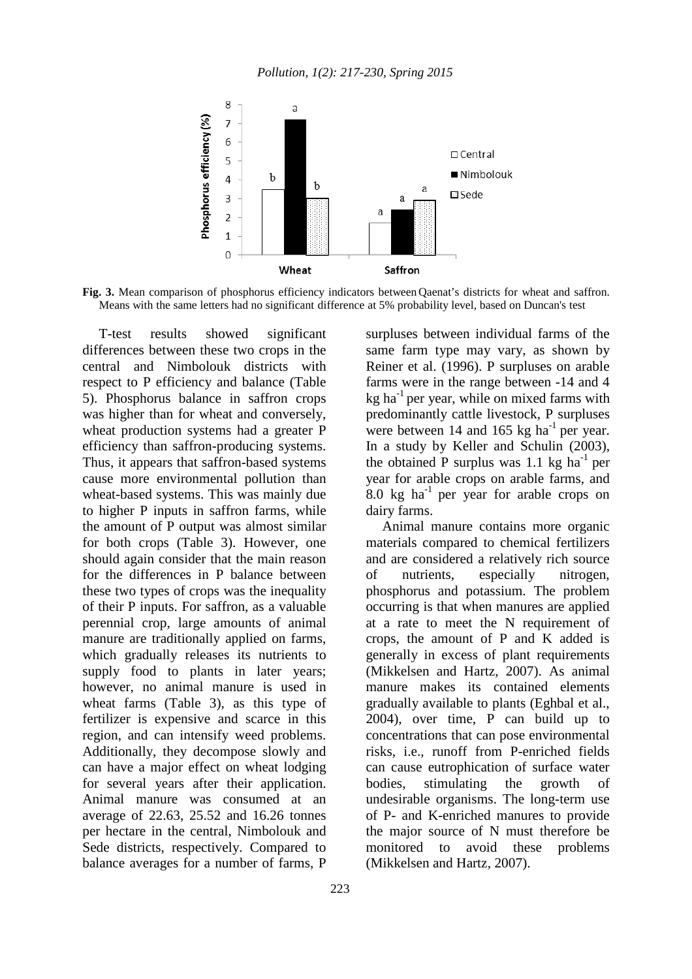

Fig. 3. Mean comparison of phosphorus efficiency indicators between Qaenat's districts for wheat and saffron. Means with the same letters had no significant difference at 5% probability level, based on Duncan's test

T-test results showed significant differences between these two crops in the central and Nimbolouk districts with respect to P efficiency and balance (Table 5). Phosphorus balance in saffron crops was higher than for wheat and conversely, wheat production systems had a greater P efficiency than saffron-producing systems. Thus, it appears that saffron-based systems cause more environmental pollution than wheat-based systems. This was mainly due to higher P inputs in saffron farms, while the amount of P output was almost similar for both crops (Table 3). However, one should again consider that the main reason for the differences in P balance between these two types of crops was the inequality of their P inputs. For saffron, as a valuable perennial crop, large amounts of animal manure are traditionally applied on farms, which gradually releases its nutrients to supply food to plants in later years; however, no animal manure is used in wheat farms (Table 3), as this type of fertilizer is expensive and scarce in this region, and can intensify weed problems. Additionally, they decompose slowly and can have a major effect on wheat lodging for several years after their application. Animal manure was consumed at an average of 22.63, 25.52 and 16.26 tonnes per hectare in the central, Nimbolouk and Sede districts, respectively. Compared to balance averages for a number of farms, P

surpluses between individual farms of the same farm type may vary, as shown by Reiner et al. (1996). P surpluses on arable farms were in the range between -14 and 4  $kg$  ha<sup>-1</sup> per year, while on mixed farms with predominantly cattle livestock, P surpluses were between 14 and 165  $kg$  ha<sup>-1</sup> per year. In a study by Keller and Schulin (2003), the obtained P surplus was 1.1 kg  $ha^{-1}$  per year for arable crops on arable farms, and 8.0 kg ha<sup>-1</sup> per year for arable crops on dairy farms.

Animal manure contains more organic materials compared to chemical fertilizers and are considered a relatively rich source of nutrients, especially nitrogen, phosphorus and potassium. The problem occurring is that when manures are applied at a rate to meet the N requirement of crops, the amount of P and K added is generally in excess of plant requirements (Mikkelsen and Hartz, 2007). As animal manure makes its contained elements gradually available to plants (Eghbal et al., 2004), over time, P can build up to concentrations that can pose environmental risks, i.e., runoff from P-enriched fields can cause eutrophication of surface water bodies, stimulating the growth of undesirable organisms. The long-term use of P- and K-enriched manures to provide the major source of N must therefore be monitored to avoid these problems (Mikkelsen and Hartz, 2007).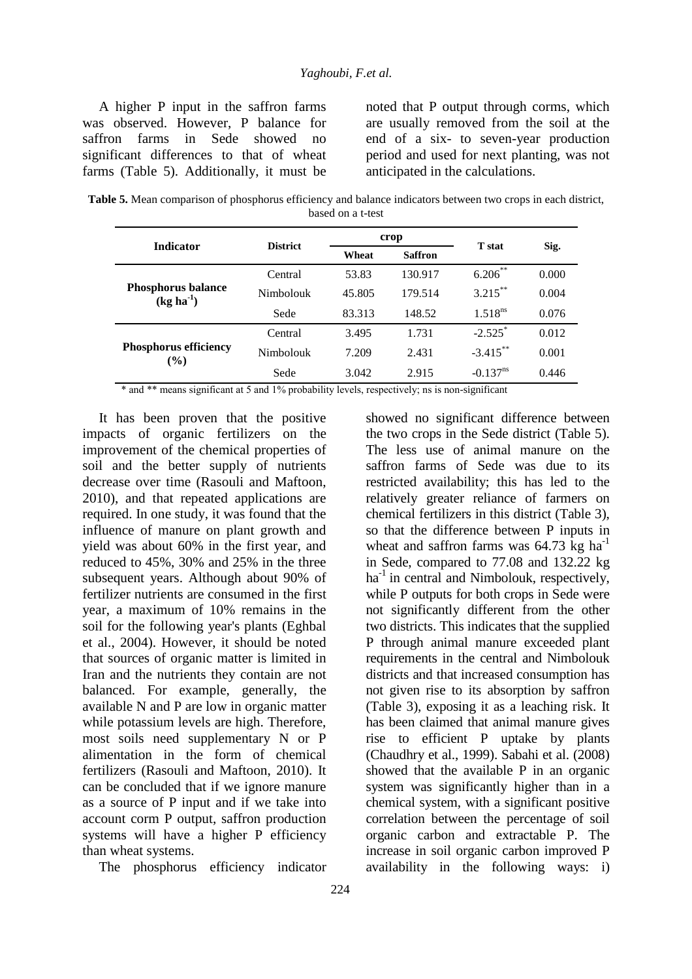A higher P input in the saffron farms was observed. However, P balance for saffron farms in Sede showed no significant differences to that of wheat farms (Table 5). Additionally, it must be noted that P output through corms, which are usually removed from the soil at the end of a six- to seven-year production period and used for next planting, was not anticipated in the calculations.

**Table 5.** Mean comparison of phosphorus efficiency and balance indicators between two crops in each district, based on a t-test

| <b>Indicator</b>                         | <b>District</b> |        | crop           | <b>T</b> stat          |       |  |
|------------------------------------------|-----------------|--------|----------------|------------------------|-------|--|
|                                          |                 | Wheat  | <b>Saffron</b> |                        | Sig.  |  |
|                                          | Central         | 53.83  | 130.917        | $6.206***$             | 0.000 |  |
| <b>Phosphorus balance</b><br>$(kg ha-1)$ | Nimbolouk       | 45.805 | 179.514        | $3.215***$             | 0.004 |  |
|                                          | Sede            | 83.313 | 148.52         | 1.518 <sup>ns</sup>    | 0.076 |  |
|                                          | Central         | 3.495  | 1.731          | $-2.525$ <sup>*</sup>  | 0.012 |  |
| <b>Phosphorus efficiency</b><br>$(\%)$   | Nimbolouk       | 7.209  | 2.431          | $-3.415***$            | 0.001 |  |
|                                          | Sede            | 3.042  | 2.915          | $-0.137$ <sup>ns</sup> | 0.446 |  |

\* and \*\* means significant at 5 and 1% probability levels, respectively; ns is non-significant

It has been proven that the positive impacts of organic fertilizers on the improvement of the chemical properties of soil and the better supply of nutrients decrease over time (Rasouli and Maftoon, 2010), and that repeated applications are required. In one study, it was found that the influence of manure on plant growth and yield was about 60% in the first year, and reduced to 45%, 30% and 25% in the three subsequent years. Although about 90% of fertilizer nutrients are consumed in the first year, a maximum of 10% remains in the soil for the following year's plants (Eghbal et al., 2004). However, it should be noted that sources of organic matter is limited in Iran and the nutrients they contain are not balanced. For example, generally, the available N and P are low in organic matter while potassium levels are high. Therefore, most soils need supplementary N or P alimentation in the form of chemical fertilizers (Rasouli and Maftoon, 2010). It can be concluded that if we ignore manure as a source of P input and if we take into account corm P output, saffron production systems will have a higher P efficiency than wheat systems.

The phosphorus efficiency indicator

showed no significant difference between the two crops in the Sede district (Table 5). The less use of animal manure on the saffron farms of Sede was due to its restricted availability; this has led to the relatively greater reliance of farmers on chemical fertilizers in this district (Table 3), so that the difference between P inputs in wheat and saffron farms was  $64.73 \text{ kg h}^{-1}$ in Sede, compared to 77.08 and 132.22 kg  $ha<sup>-1</sup>$  in central and Nimbolouk, respectively, while P outputs for both crops in Sede were not significantly different from the other two districts. This indicates that the supplied P through animal manure exceeded plant requirements in the central and Nimbolouk districts and that increased consumption has not given rise to its absorption by saffron (Table 3), exposing it as a leaching risk. It has been claimed that animal manure gives rise to efficient P uptake by plants (Chaudhry et al., 1999). Sabahi et al. (2008) showed that the available P in an organic system was significantly higher than in a chemical system, with a significant positive correlation between the percentage of soil organic carbon and extractable P. The increase in soil organic carbon improved P availability in the following ways: i)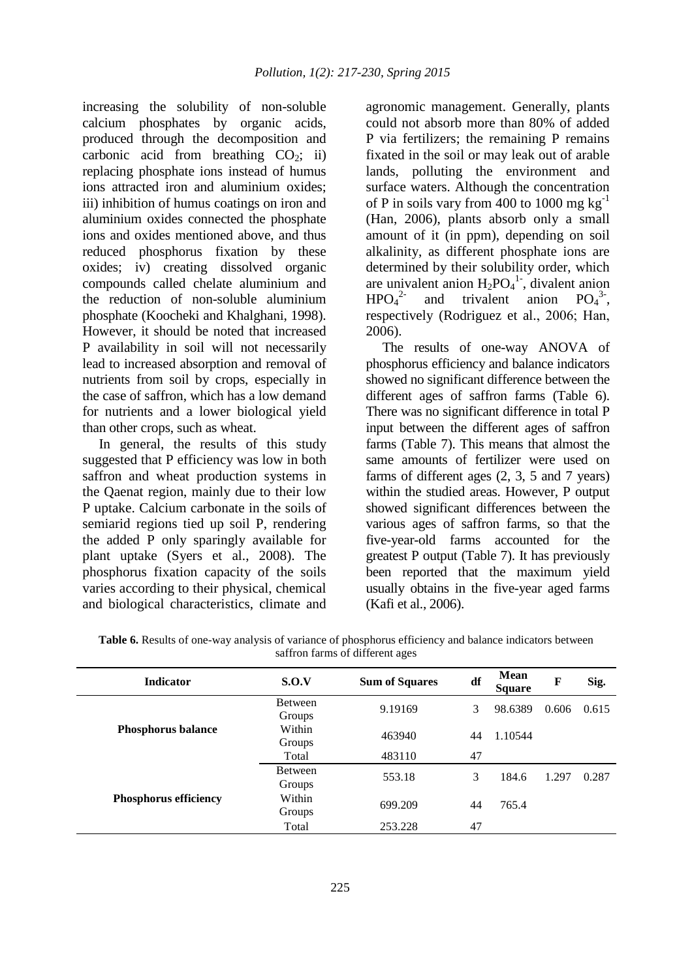increasing the solubility of non-soluble calcium phosphates by organic acids, produced through the decomposition and carbonic acid from breathing  $CO<sub>2</sub>$ ; ii) replacing phosphate ions instead of humus ions attracted iron and aluminium oxides; iii) inhibition of humus coatings on iron and aluminium oxides connected the phosphate ions and oxides mentioned above, and thus reduced phosphorus fixation by these oxides; iv) creating dissolved organic compounds called chelate aluminium and the reduction of non-soluble aluminium phosphate (Koocheki and Khalghani, 1998). However, it should be noted that increased P availability in soil will not necessarily lead to increased absorption and removal of nutrients from soil by crops, especially in the case of saffron, which has a low demand for nutrients and a lower biological yield than other crops, such as wheat.

In general, the results of this study suggested that P efficiency was low in both saffron and wheat production systems in the Qaenat region, mainly due to their low P uptake. Calcium carbonate in the soils of semiarid regions tied up soil P, rendering the added P only sparingly available for plant uptake (Syers et al., 2008). The phosphorus fixation capacity of the soils varies according to their physical, chemical and biological characteristics, climate and

agronomic management. Generally, plants could not absorb more than 80% of added P via fertilizers; the remaining P remains fixated in the soil or may leak out of arable lands, polluting the environment and surface waters. Although the concentration of P in soils vary from 400 to 1000 mg  $kg^{-1}$ (Han, 2006), plants absorb only a small amount of it (in ppm), depending on soil alkalinity, as different phosphate ions are determined by their solubility order, which are univalent anion  $H_2PO_4^1$ , divalent anion  $HPO<sub>4</sub><sup>2</sup>$ <sup>2-</sup> and trivalent anion  $PO_4^{3}$ <sup>3</sup>, respectively (Rodriguez et al., 2006; Han, 2006).

The results of one-way ANOVA of phosphorus efficiency and balance indicators showed no significant difference between the different ages of saffron farms (Table 6). There was no significant difference in total P input between the different ages of saffron farms (Table 7). This means that almost the same amounts of fertilizer were used on farms of different ages (2, 3, 5 and 7 years) within the studied areas. However, P output showed significant differences between the various ages of saffron farms, so that the five-year-old farms accounted for the greatest P output (Table 7). It has previously been reported that the maximum yield usually obtains in the five-year aged farms (Kafi et al., 2006).

| <b>Indicator</b>             | S.O.V                    | <b>Sum of Squares</b> | df | Mean<br><b>Square</b> | F     | Sig.  |
|------------------------------|--------------------------|-----------------------|----|-----------------------|-------|-------|
|                              | <b>Between</b><br>Groups | 9.19169               | 3  | 98.6389               | 0.606 | 0.615 |
| <b>Phosphorus balance</b>    | Within<br>Groups         | 463940                | 44 | 1.10544               |       |       |
|                              | Total                    | 483110                | 47 |                       |       |       |
|                              | <b>Between</b><br>Groups | 553.18                | 3  | 184.6                 | 1.297 | 0.287 |
| <b>Phosphorus efficiency</b> | Within<br>Groups         | 699.209               | 44 | 765.4                 |       |       |
|                              | Total                    | 253.228               | 47 |                       |       |       |

**Table 6.** Results of one-way analysis of variance of phosphorus efficiency and balance indicators between saffron farms of different ages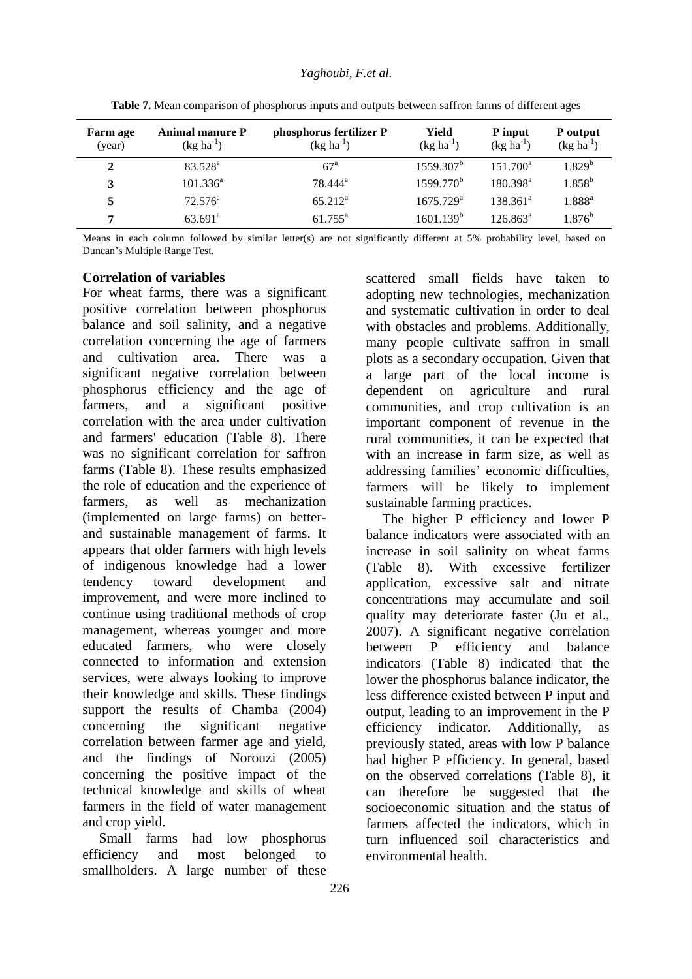| <b>Farm age</b><br>(year) | <b>Animal manure P</b><br>$(kg ha^{-1})$ | phosphorus fertilizer P<br>$(kg ha^{-1})$ | Yield<br>$(kg ha^{-1})$ | P input<br>$(kg ha^{-1})$ | P output<br>$(kg ha^{-1})$ |
|---------------------------|------------------------------------------|-------------------------------------------|-------------------------|---------------------------|----------------------------|
| 2                         | $83.528^{\rm a}$                         | $67^{\circ}$                              | $1559.307^b$            | $151.700^a$               | 1.829 <sup>b</sup>         |
| 3                         | $101.336^a$                              | 78.444 <sup>a</sup>                       | 1599.770 <sup>b</sup>   | $180.398^a$               | $1.858^{\rm b}$            |
| 5                         | $72.576^{\rm a}$                         | $65.212^{\rm a}$                          | $1675.729^{\text{a}}$   | $138.361^a$               | $1.888^{\rm a}$            |
| 7                         | $63.691^{\circ}$                         | $61.755^{\rm a}$                          | 1601.139 <sup>b</sup>   | $126.863^a$               | $1.876^{\rm b}$            |

**Table 7.** Mean comparison of phosphorus inputs and outputs between saffron farms of different ages

Means in each column followed by similar letter(s) are not significantly different at 5% probability level, based on Duncan's Multiple Range Test.

#### **Correlation of variables**

For wheat farms, there was a significant positive correlation between phosphorus balance and soil salinity, and a negative correlation concerning the age of farmers and cultivation area. There was a significant negative correlation between phosphorus efficiency and the age of farmers, and a significant positive correlation with the area under cultivation and farmers' education (Table 8). There was no significant correlation for saffron farms (Table 8). These results emphasized the role of education and the experience of farmers, as well as mechanization (implemented on large farms) on betterand sustainable management of farms. It appears that older farmers with high levels of indigenous knowledge had a lower tendency toward development and improvement, and were more inclined to continue using traditional methods of crop management, whereas younger and more educated farmers, who were closely connected to information and extension services, were always looking to improve their knowledge and skills. These findings support the results of Chamba (2004) concerning the significant negative correlation between farmer age and yield, and the findings of Norouzi (2005) concerning the positive impact of the technical knowledge and skills of wheat farmers in the field of water management and crop yield.

Small farms had low phosphorus efficiency and most belonged to smallholders. A large number of these many people cultivate saffron in small plots as a secondary occupation. Given that a large part of the local income is dependent on agriculture and rural communities, and crop cultivation is an important component of revenue in the rural communities, it can be expected that with an increase in farm size, as well as addressing families' economic difficulties, farmers will be likely to implement sustainable farming practices. The higher P efficiency and lower P balance indicators were associated with an increase in soil salinity on wheat farms (Table 8). With excessive fertilizer

scattered small fields have taken to adopting new technologies, mechanization and systematic cultivation in order to deal with obstacles and problems. Additionally,

application, excessive salt and nitrate concentrations may accumulate and soil quality may deteriorate faster (Ju et al., 2007). A significant negative correlation between P efficiency and balance indicators (Table 8) indicated that the lower the phosphorus balance indicator, the less difference existed between P input and output, leading to an improvement in the P efficiency indicator. Additionally, as previously stated, areas with low P balance had higher P efficiency. In general, based on the observed correlations (Table 8), it can therefore be suggested that the socioeconomic situation and the status of farmers affected the indicators, which in turn influenced soil characteristics and environmental health.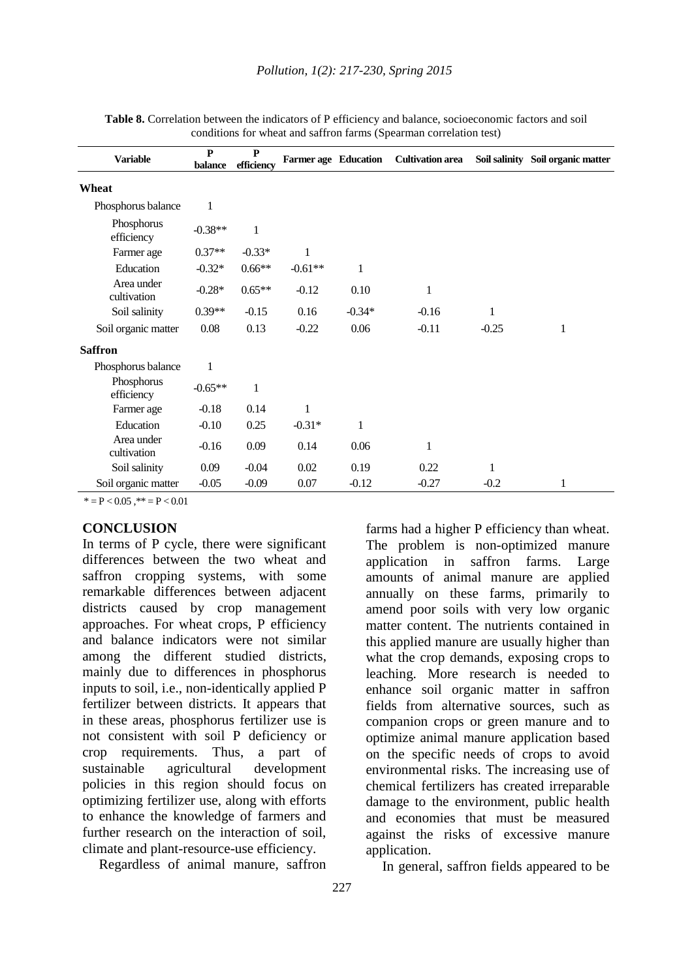| <b>Variable</b>           | $\mathbf{P}$ | $\mathbf{P}$ | <b>Farmer age Education</b> |          | <b>Cultivation area</b> |         | Soil salinity Soil organic matter |
|---------------------------|--------------|--------------|-----------------------------|----------|-------------------------|---------|-----------------------------------|
|                           | balance      | efficiency   |                             |          |                         |         |                                   |
| Wheat                     |              |              |                             |          |                         |         |                                   |
| Phosphorus balance        | $\mathbf{1}$ |              |                             |          |                         |         |                                   |
| Phosphorus<br>efficiency  | $-0.38**$    | 1            |                             |          |                         |         |                                   |
| Farmer age                | $0.37**$     | $-0.33*$     | 1                           |          |                         |         |                                   |
| Education                 | $-0.32*$     | $0.66**$     | $-0.61**$                   | 1        |                         |         |                                   |
| Area under<br>cultivation | $-0.28*$     | $0.65**$     | $-0.12$                     | 0.10     | 1                       |         |                                   |
| Soil salinity             | $0.39**$     | $-0.15$      | 0.16                        | $-0.34*$ | $-0.16$                 | 1       |                                   |
| Soil organic matter       | $0.08\,$     | 0.13         | $-0.22$                     | 0.06     | $-0.11$                 | $-0.25$ | $\mathbf 1$                       |
| <b>Saffron</b>            |              |              |                             |          |                         |         |                                   |
| Phosphorus balance        | $\mathbf{1}$ |              |                             |          |                         |         |                                   |
| Phosphorus<br>efficiency  | $-0.65**$    | 1            |                             |          |                         |         |                                   |
| Farmer age                | $-0.18$      | 0.14         | 1                           |          |                         |         |                                   |
| Education                 | $-0.10$      | 0.25         | $-0.31*$                    | 1        |                         |         |                                   |
| Area under<br>cultivation | $-0.16$      | 0.09         | 0.14                        | 0.06     | 1                       |         |                                   |
| Soil salinity             | 0.09         | $-0.04$      | 0.02                        | 0.19     | 0.22                    | 1       |                                   |
| Soil organic matter       | $-0.05$      | $-0.09$      | 0.07                        | $-0.12$  | $-0.27$                 | $-0.2$  | 1                                 |

Table 8. Correlation between the indicators of P efficiency and balance, socioeconomic factors and soil conditions for wheat and saffron farms (Spearman correlation test)

 $* = P < 0.05$ ,  $* = P < 0.01$ 

### **CONCLUSION**

In terms of P cycle, there were significant differences between the two wheat and saffron cropping systems, with some remarkable differences between adjacent districts caused by crop management approaches. For wheat crops, P efficiency and balance indicators were not similar among the different studied districts, mainly due to differences in phosphorus inputs to soil, i.e., non-identically applied P fertilizer between districts. It appears that in these areas, phosphorus fertilizer use is not consistent with soil P deficiency or crop requirements. Thus, a part of sustainable agricultural development policies in this region should focus on optimizing fertilizer use, along with efforts to enhance the knowledge of farmers and further research on the interaction of soil, climate and plant-resource-use efficiency.

Regardless of animal manure, saffron

The problem is non-optimized manure application in saffron farms. Large amounts of animal manure are applied annually on these farms, primarily to amend poor soils with very low organic matter content. The nutrients contained in this applied manure are usually higher than what the crop demands, exposing crops to leaching. More research is needed to enhance soil organic matter in saffron fields from alternative sources, such as companion crops or green manure and to optimize animal manure application based on the specific needs of crops to avoid environmental risks. The increasing use of chemical fertilizers has created irreparable damage to the environment, public health and economies that must be measured against the risks of excessive manure application.

farms had a higher P efficiency than wheat.

In general, saffron fields appeared to be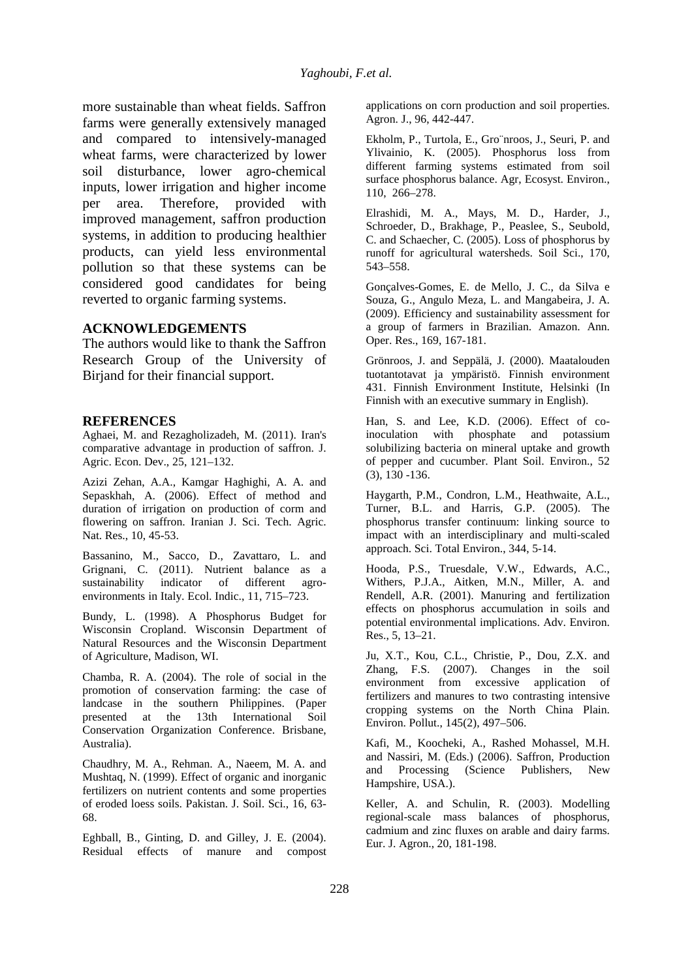more sustainable than wheat fields. Saffron farms were generally extensively managed and compared to intensively-managed wheat farms, were characterized by lower soil disturbance, lower agro-chemical inputs, lower irrigation and higher income per area. Therefore, provided with improved management, saffron production systems, in addition to producing healthier products, can yield less environmental pollution so that these systems can be considered good candidates for being reverted to organic farming systems.

#### **ACKNOWLEDGEMENTS**

The authors would like to thank the Saffron Research Group of the University of Birjand for their financial support.

#### **REFERENCES**

Aghaei, M. and Rezagholizadeh, M. (2011). Iran's comparative advantage in production of saffron. J. Agric. Econ. Dev., 25, 121–132.

Azizi Zehan, A.A., Kamgar Haghighi, A. A. and Sepaskhah, A. (2006). Effect of method and duration of irrigation on production of corm and flowering on saffron. Iranian J. Sci. Tech. Agric. Nat. Res., 10, 45-53.

Bassanino, M., Sacco, D., Zavattaro, L. and Grignani, C. (2011). Nutrient balance as a sustainability indicator of different agroenvironments in Italy. Ecol. Indic., 11, 715–723.

Bundy, L. (1998). A Phosphorus Budget for Wisconsin Cropland. Wisconsin Department of Natural Resources and the Wisconsin Department of Agriculture, Madison, WI.

Chamba, R. A. (2004). The role of social in the promotion of conservation farming: the case of landcase in the southern Philippines. (Paper presented at the 13th International Soil Conservation Organization Conference. Brisbane, Australia).

Chaudhry, M. A., Rehman. A., Naeem, M. A. and Mushtaq, N. (1999). Effect of organic and inorganic fertilizers on nutrient contents and some properties of eroded loess soils. Pakistan. J. Soil. Sci., 16, 63- 68.

Eghball, B., Ginting, D. and Gilley, J. E. (2004). Residual effects of manure and compost applications on corn production and soil properties. Agron. J., 96, 442-447.

Ekholm, P., Turtola, E., Gro¨nroos, J., Seuri, P. and Ylivainio, K. (2005). Phosphorus loss from different farming systems estimated from soil surface phosphorus balance. Agr, Ecosyst. Environ., 110, 266–278.

Elrashidi, M. A., Mays, M. D., Harder, J., Schroeder, D., Brakhage, P., Peaslee, S., Seubold, C. and Schaecher, C. (2005). Loss of phosphorus by runoff for agricultural watersheds. Soil Sci., 170, 543–558.

Gonçalves-Gomes, E. de Mello, J. C., da Silva e Souza, G., Angulo Meza, L. and Mangabeira, J. A. (2009). Efficiency and sustainability assessment for a group of farmers in Brazilian. Amazon. Ann. Oper. Res., 169, 167-181.

Grönroos, J. and Seppälä, J. (2000). Maatalouden tuotantotavat ja ympäristö. Finnish environment 431. Finnish Environment Institute, Helsinki (In Finnish with an executive summary in English).

Han, S. and Lee, K.D. (2006). Effect of coinoculation with phosphate and potassium solubilizing bacteria on mineral uptake and growth of pepper and cucumber. Plant Soil. Environ., 52 (3), 130 -136.

Haygarth, P.M., Condron, L.M., Heathwaite, A.L., Turner, B.L. and Harris, G.P. (2005). The phosphorus transfer continuum: linking source to impact with an interdisciplinary and multi-scaled approach. Sci. Total Environ., 344, 5-14.

Hooda, P.S., Truesdale, V.W., Edwards, A.C., Withers, P.J.A., Aitken, M.N., Miller, A. and Rendell, A.R. (2001). Manuring and fertilization effects on phosphorus accumulation in soils and potential environmental implications. Adv. Environ. Res., 5, 13–21.

Ju, X.T., Kou, C.L., Christie, P., Dou, Z.X. and Zhang, F.S. (2007). Changes in the soil environment from excessive application of fertilizers and manures to two contrasting intensive cropping systems on the North China Plain. Environ. Pollut., 145(2), 497–506.

Kafi, M., Koocheki, A., Rashed Mohassel, M.H. and Nassiri, M. (Eds.) (2006). Saffron, Production and Processing (Science Publishers, New Hampshire, USA.).

Keller, A. and Schulin, R. (2003). Modelling regional-scale mass balances of phosphorus, cadmium and zinc fluxes on arable and dairy farms. Eur. J. Agron., 20, 181-198.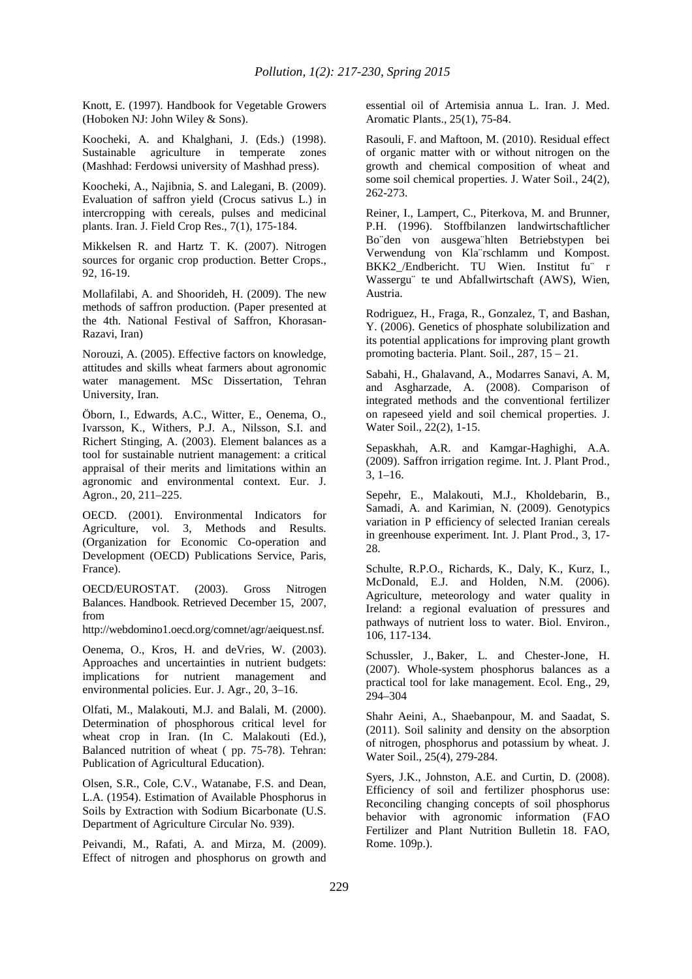Knott, E. (1997). Handbook for Vegetable Growers (Hoboken NJ: John Wiley & Sons).

Koocheki, A. and Khalghani, J. (Eds.) (1998). Sustainable agriculture in temperate zones (Mashhad: Ferdowsi university of Mashhad press).

Koocheki, A., Najibnia, S. and Lalegani, B. (2009). Evaluation of saffron yield (Crocus sativus L.) in intercropping with cereals, pulses and medicinal plants. Iran. J. Field Crop Res., 7(1), 175-184.

Mikkelsen R. and Hartz T. K. (2007). Nitrogen sources for organic crop production. Better Crops., 92, 16-19.

Mollafilabi, A. and Shoorideh, H. (2009). The new methods of saffron production. (Paper presented at the 4th. National Festival of Saffron, Khorasan-Razavi, Iran)

Norouzi, A. (2005). Effective factors on knowledge, attitudes and skills wheat farmers about agronomic water management. MSc Dissertation, Tehran University, Iran.

Öborn, I., Edwards, A.C., Witter, E., Oenema, O., Ivarsson, K., Withers, P.J. A., Nilsson, S.I. and Richert Stinging, A. (2003). Element balances as a tool for sustainable nutrient management: a critical appraisal of their merits and limitations within an agronomic and environmental context. Eur. J. Agron., 20, 211–225.

OECD. (2001). Environmental Indicators for Agriculture, vol. 3, Methods and Results. (Organization for Economic Co-operation and Development (OECD) Publications Service, Paris, France).

OECD/EUROSTAT. (2003). Gross Nitrogen Balances. Handbook. Retrieved December 15, 2007, from

http://webdomino1.oecd.org/comnet/agr/aeiquest.nsf.

Oenema, O., Kros, H. and deVries, W. (2003). Approaches and uncertainties in nutrient budgets: implications for nutrient management and environmental policies. Eur. J. Agr., 20, 3–16.

Olfati, M., Malakouti, M.J. and Balali, M. (2000). Determination of phosphorous critical level for wheat crop in Iran. (In C. Malakouti (Ed.), Balanced nutrition of wheat ( pp. 75-78). Tehran: Publication of Agricultural Education).

Olsen, S.R., Cole, C.V., Watanabe, F.S. and Dean, L.A. (1954). Estimation of Available Phosphorus in Soils by Extraction with Sodium Bicarbonate (U.S. Department of Agriculture Circular No. 939).

Peivandi, M., Rafati, A. and Mirza, M. (2009). Effect of nitrogen and phosphorus on growth and essential oil of Artemisia annua L. Iran. J. Med. Aromatic Plants., 25(1), 75-84.

Rasouli, F. and Maftoon, M. (2010). Residual effect of organic matter with or without nitrogen on the growth and chemical composition of wheat and some soil chemical properties. J. Water Soil., 24(2), 262-273.

Reiner, I., Lampert, C., Piterkova, M. and Brunner, P.H. (1996). Stoffbilanzen landwirtschaftlicher Bo¨den von ausgewa¨hlten Betriebstypen bei Verwendung von Kla¨rschlamm und Kompost. BKK2\_/Endbericht. TU Wien. Institut fu¨ r Wassergu¨ te und Abfallwirtschaft (AWS), Wien, Austria.

Rodriguez, H., Fraga, R., Gonzalez, T, and Bashan, Y. (2006). Genetics of phosphate solubilization and its potential applications for improving plant growth promoting bacteria. Plant. Soil.,  $287, 15 - 21$ .

Sabahi, H., Ghalavand, A., Modarres Sanavi, A. M, and Asgharzade, A. (2008). Comparison of integrated methods and the conventional fertilizer on rapeseed yield and soil chemical properties. J. Water Soil., 22(2), 1-15.

Sepaskhah, A.R. and Kamgar-Haghighi, A.A. (2009). Saffron irrigation regime. Int. J. Plant Prod., 3, 1–16.

Sepehr, E., Malakouti, M.J., Kholdebarin, B., Samadi, A. and Karimian, N. (2009). Genotypics variation in P efficiency of selected Iranian cereals in greenhouse experiment. Int. J. Plant Prod., 3, 17- 28.

Schulte, R.P.O., Richards, K., Daly, K., Kurz, I., McDonald, E.J. and Holden, N.M. (2006). Agriculture, meteorology and water quality in Ireland: a regional evaluation of pressures and pathways of nutrient loss to water. Biol. Environ., 106, 117-134.

Schussler, J., Baker, L. and Chester-Jone, H. (2007). Whole-system phosphorus balances as a practical tool for lake management. Ecol. Eng., 29, 294–304

Shahr Aeini, A., Shaebanpour, M. and Saadat, S. (2011). Soil salinity and density on the absorption of nitrogen, phosphorus and potassium by wheat. J. Water Soil., 25(4), 279-284.

Syers, J.K., Johnston, A.E. and Curtin, D. (2008). Efficiency of soil and fertilizer phosphorus use: Reconciling changing concepts of soil phosphorus behavior with agronomic information (FAO Fertilizer and Plant Nutrition Bulletin 18. FAO, Rome. 109p.).